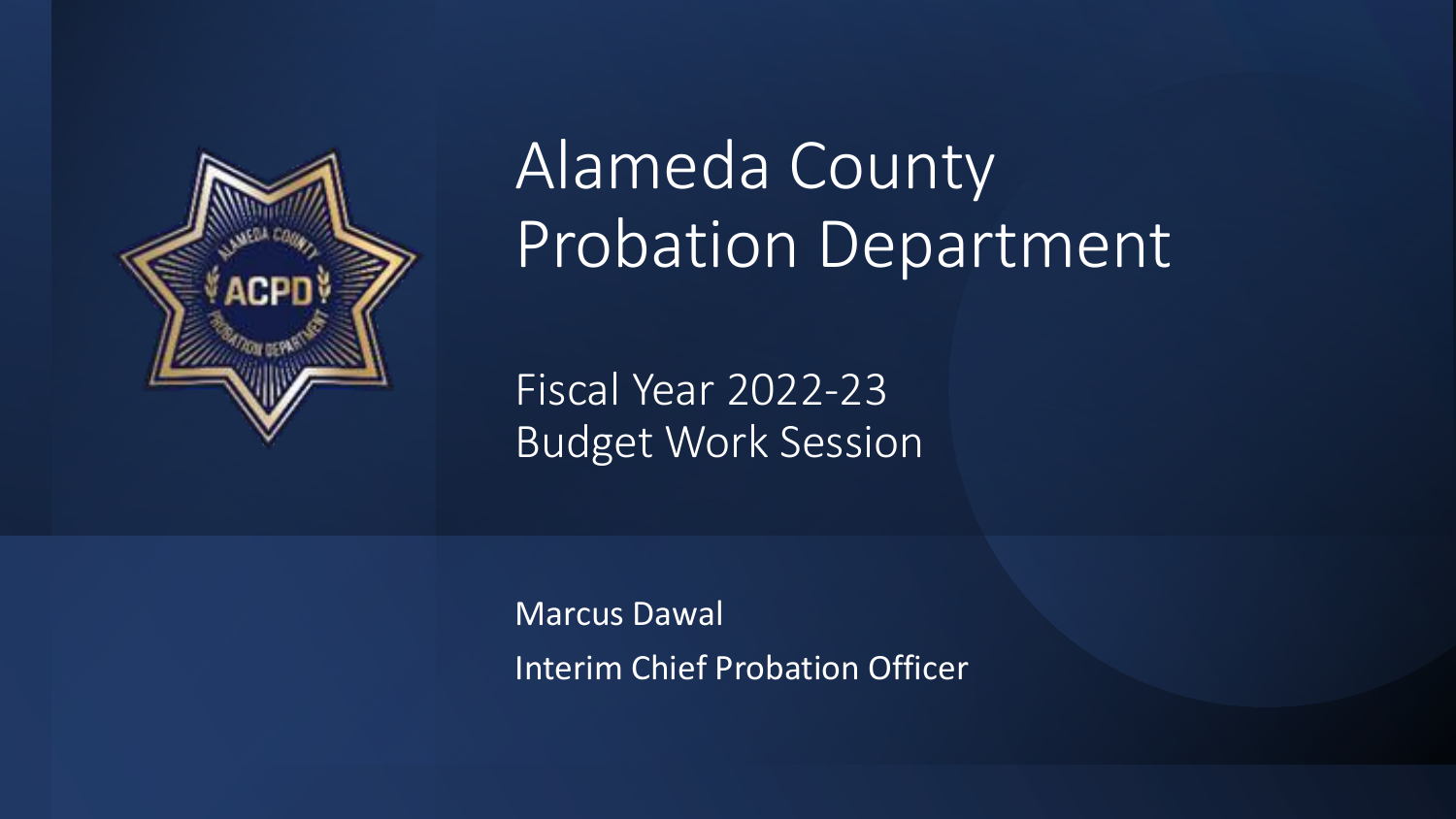

# Alameda County Probation Department

Fiscal Year 2022-23 Budget Work Session

Marcus Dawal Interim Chief Probation Officer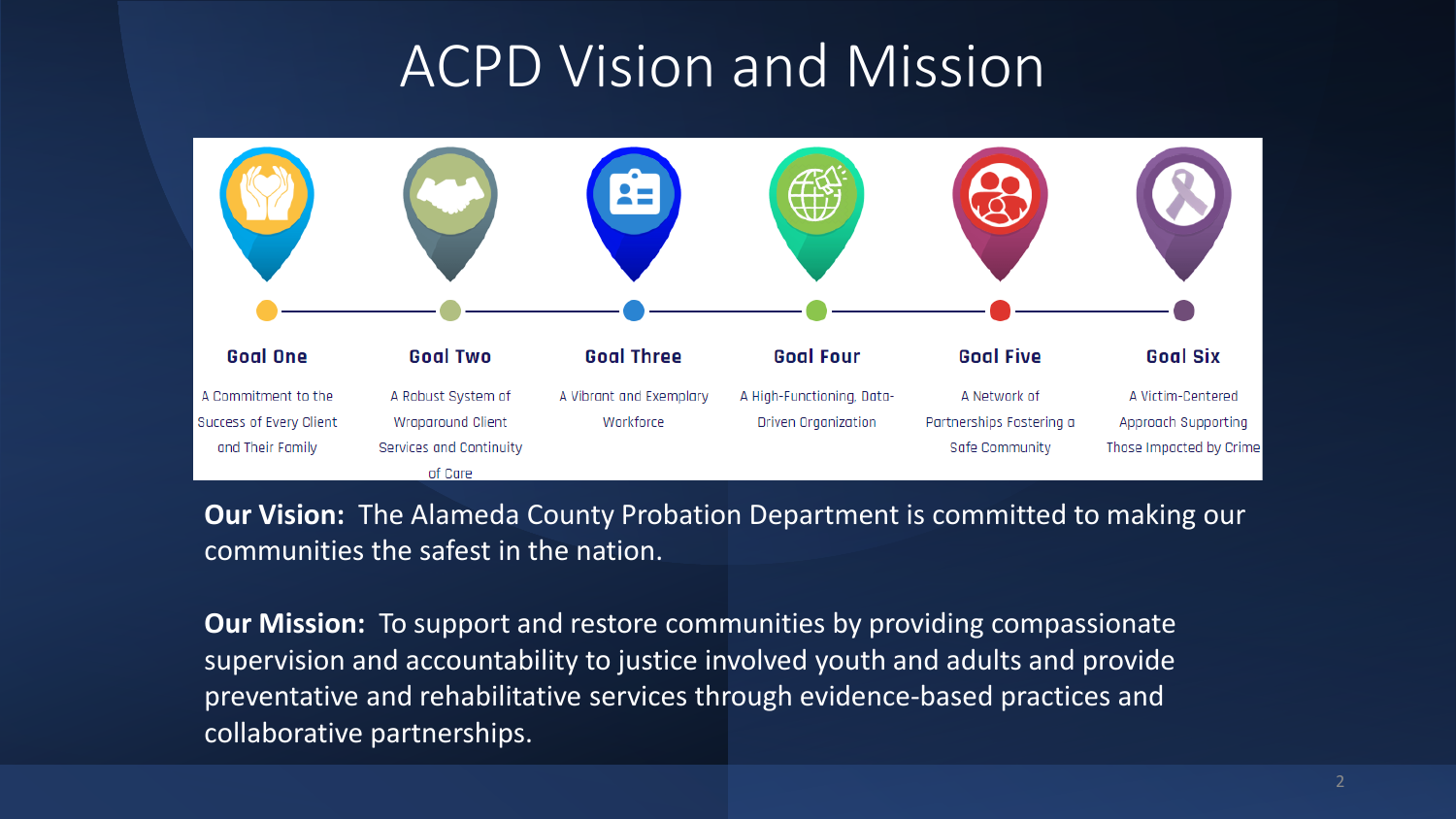# ACPD Vision and Mission



**Our Vision:** The Alameda County Probation Department is committed to making our communities the safest in the nation.

**Our Mission:** To support and restore communities by providing compassionate supervision and accountability to justice involved youth and adults and provide preventative and rehabilitative services through evidence-based practices and collaborative partnerships.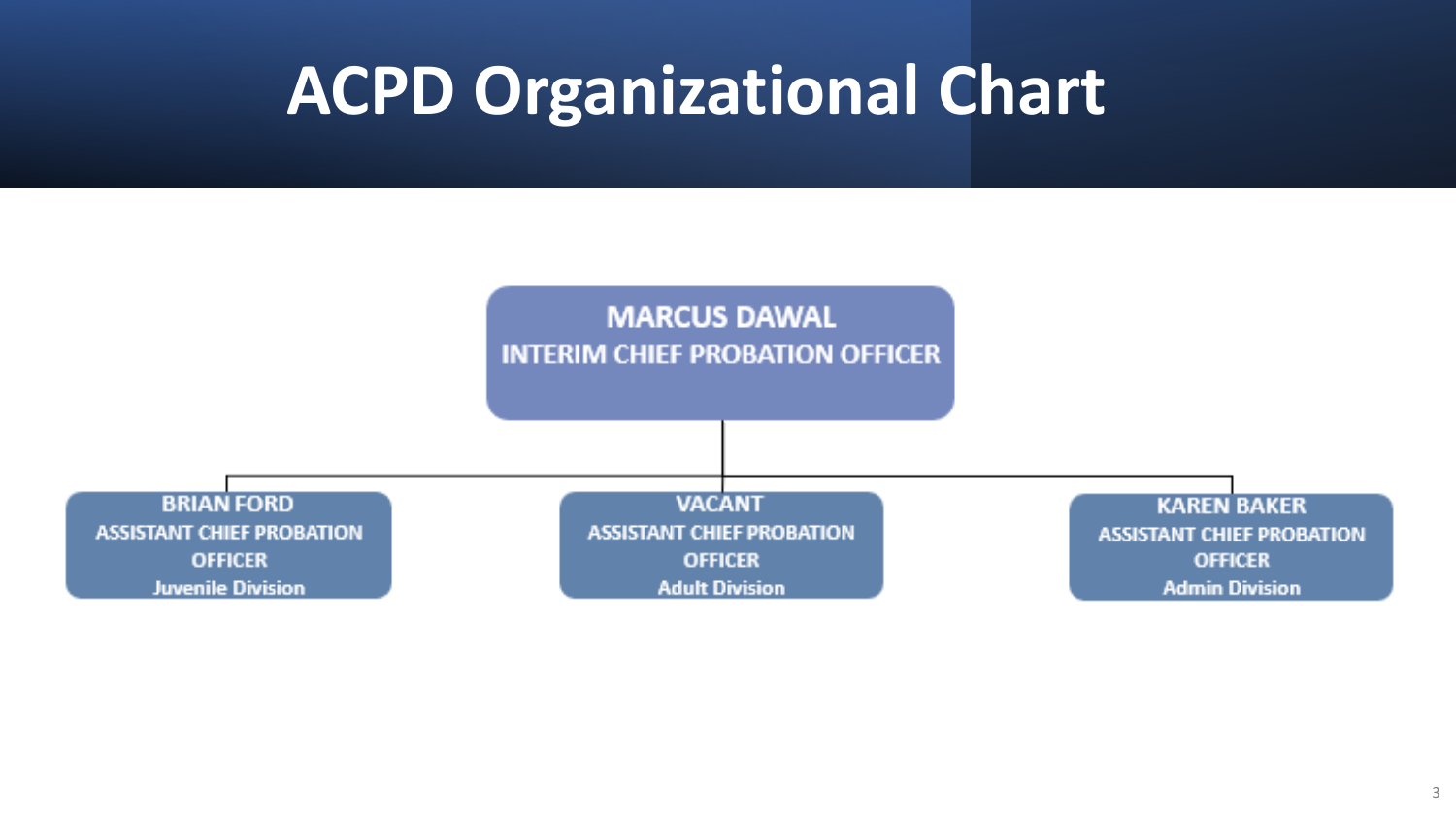# **ACPD Organizational Chart**

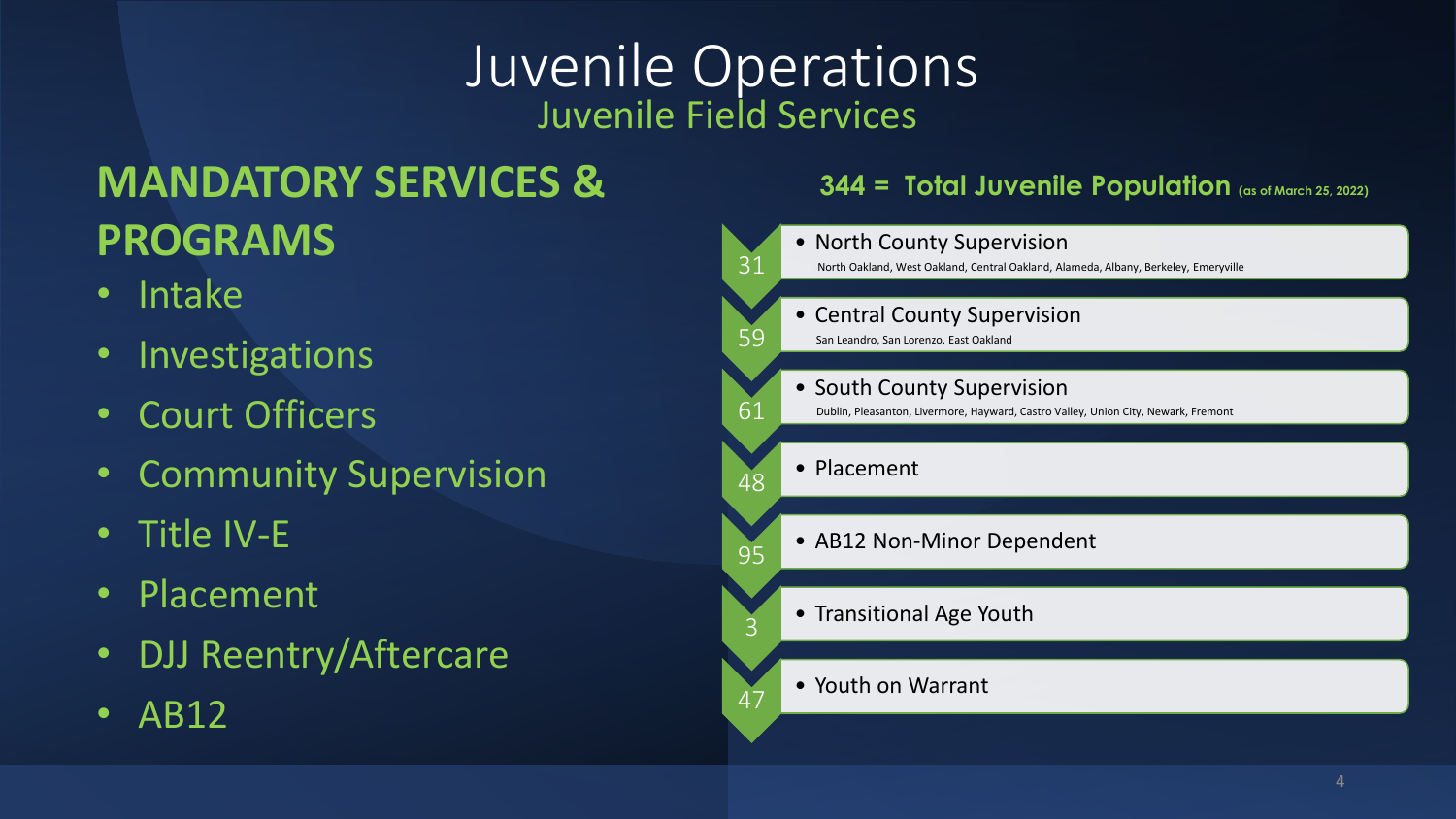# Juvenile Operations Juvenile Field Services

# **MANDATORY SERVICES & PROGRAMS**

- Intake
- Investigations
- Court Officers
- Community Supervision
- Title IV-E
- Placement
- DJJ Reentry/Aftercare
- AB12

#### **344 = Total Juvenile Population (as of March 25, 2022)**

| 31 | • North County Supervision<br>North Oakland, West Oakland, Central Oakland, Alameda, Albany, Berkeley, Emeryville     |
|----|-----------------------------------------------------------------------------------------------------------------------|
| 59 | <b>Central County Supervision</b><br>San Leandro, San Lorenzo, East Oakland                                           |
| 61 | <b>South County Supervision</b><br>Dublin, Pleasanton, Livermore, Hayward, Castro Valley, Union City, Newark, Fremont |
| 48 | Placement                                                                                                             |
| 95 | • AB12 Non-Minor Dependent                                                                                            |
| 3  | • Transitional Age Youth                                                                                              |
| 47 | • Youth on Warrant                                                                                                    |
|    |                                                                                                                       |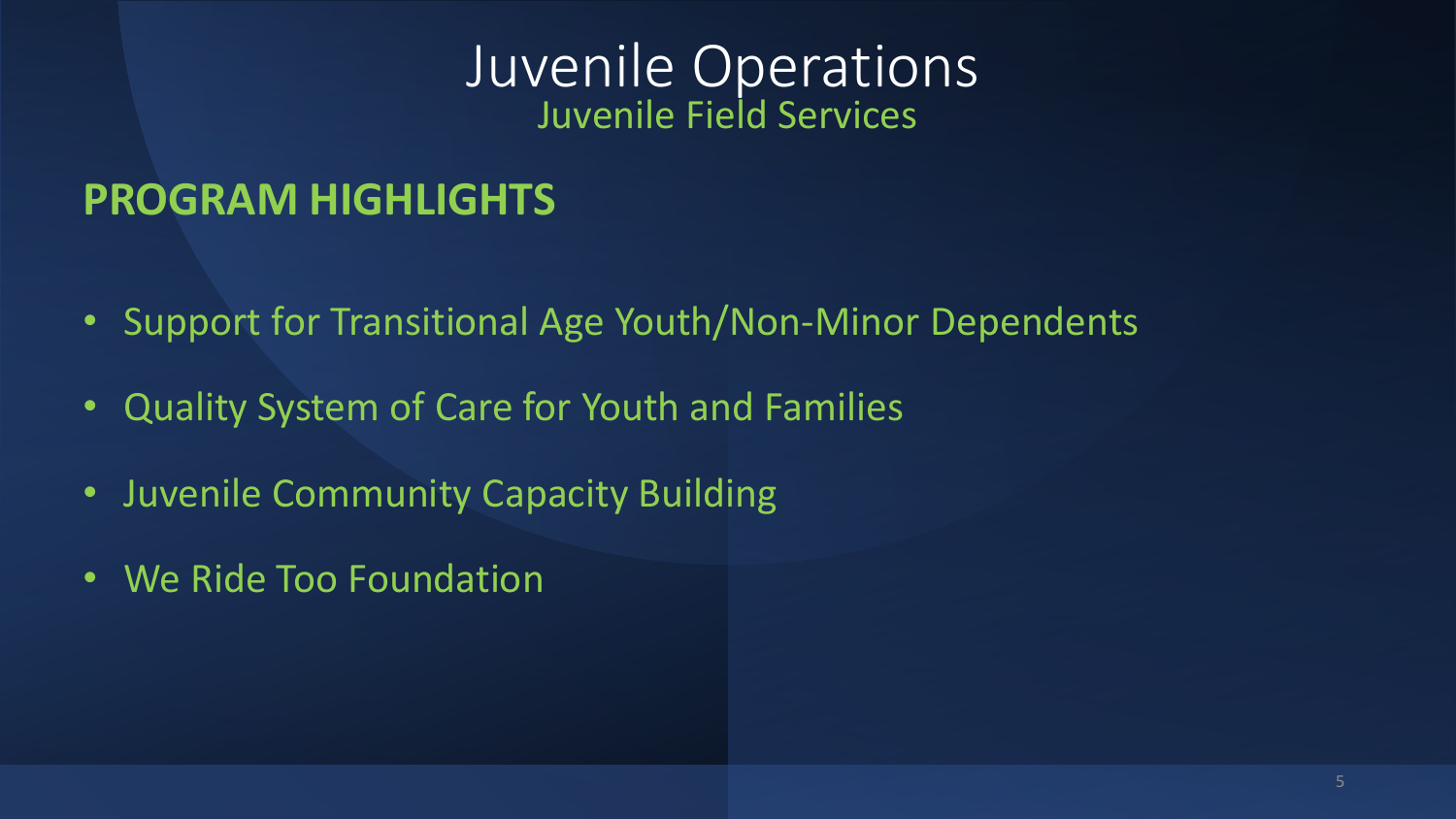### Juvenile Operations Juvenile Field Services

# **PROGRAM HIGHLIGHTS**

- Support for Transitional Age Youth/Non-Minor Dependents
- Quality System of Care for Youth and Families
- Juvenile Community Capacity Building
- We Ride Too Foundation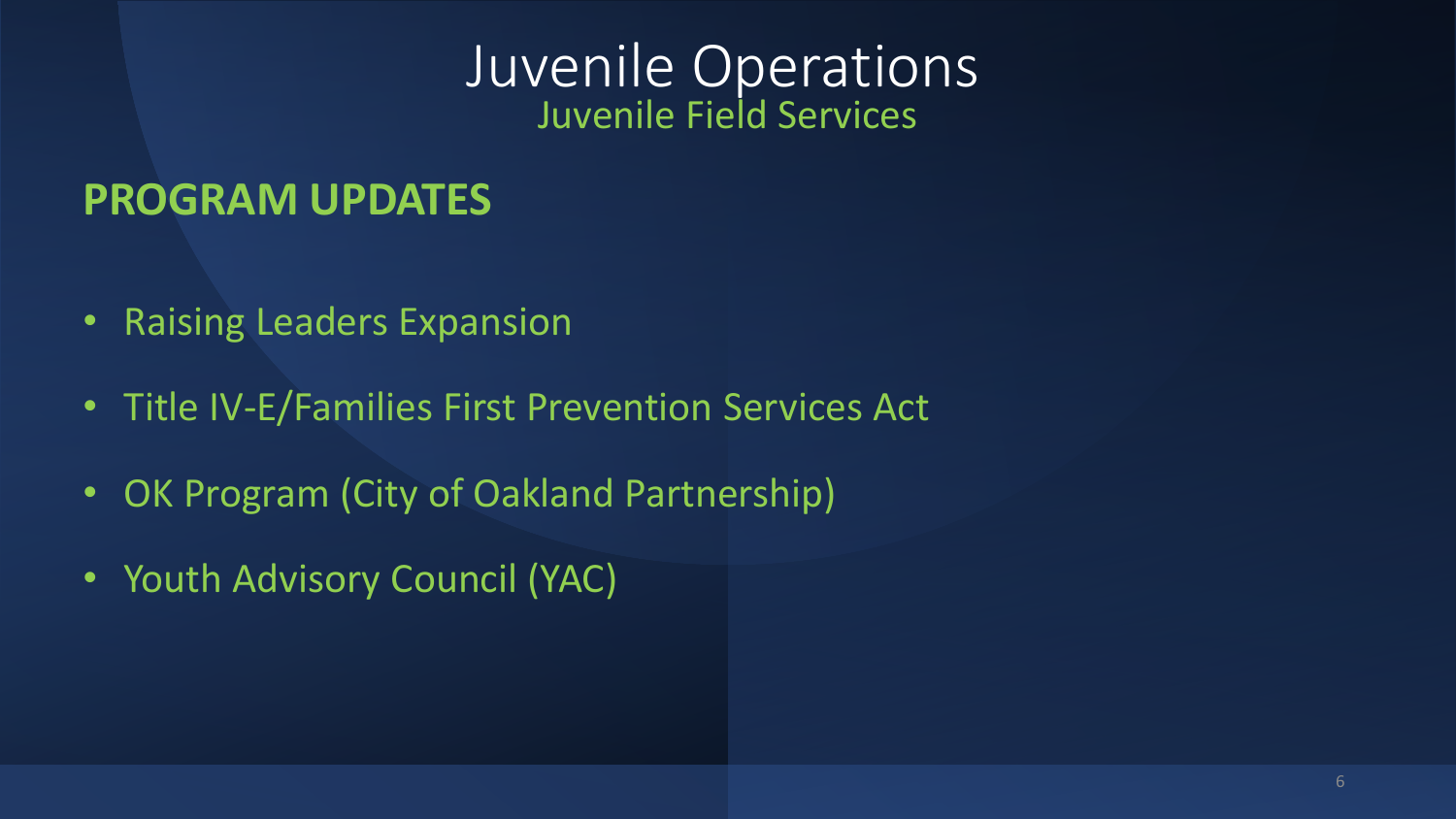### Juvenile Operations Juvenile Field Services

### **PROGRAM UPDATES**

- Raising Leaders Expansion
- Title IV-E/Families First Prevention Services Act
- OK Program (City of Oakland Partnership)
- Youth Advisory Council (YAC)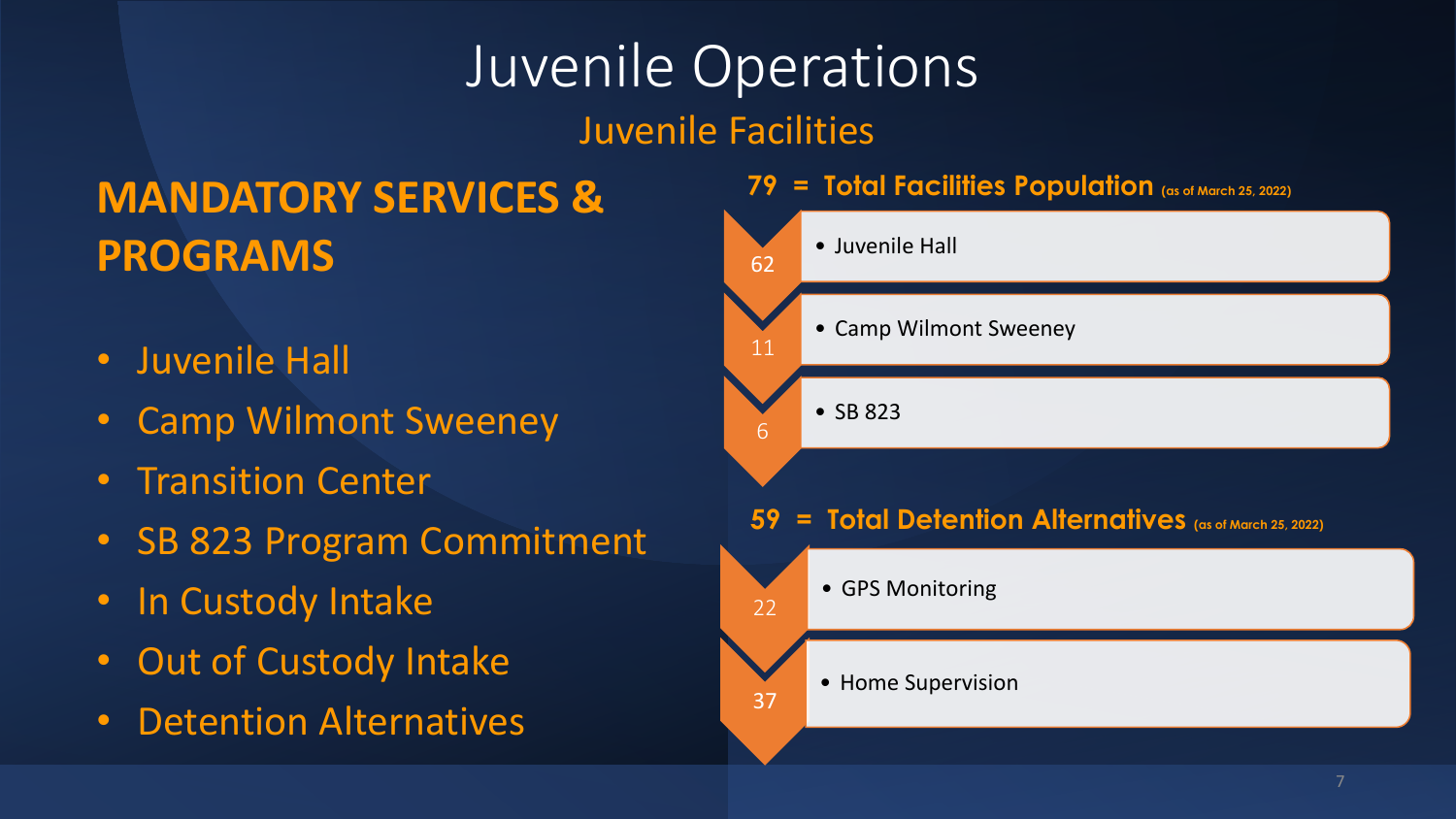# **MANDATORY SERVICES & PROGRAMS**

- Juvenile Hall
- Camp Wilmont Sweeney
- Transition Center
- SB 823 Program Commitment
- In Custody Intake
- Out of Custody Intake
- Detention Alternatives

#### **79 = Total Facilities Population (as of March 25, 2022)**

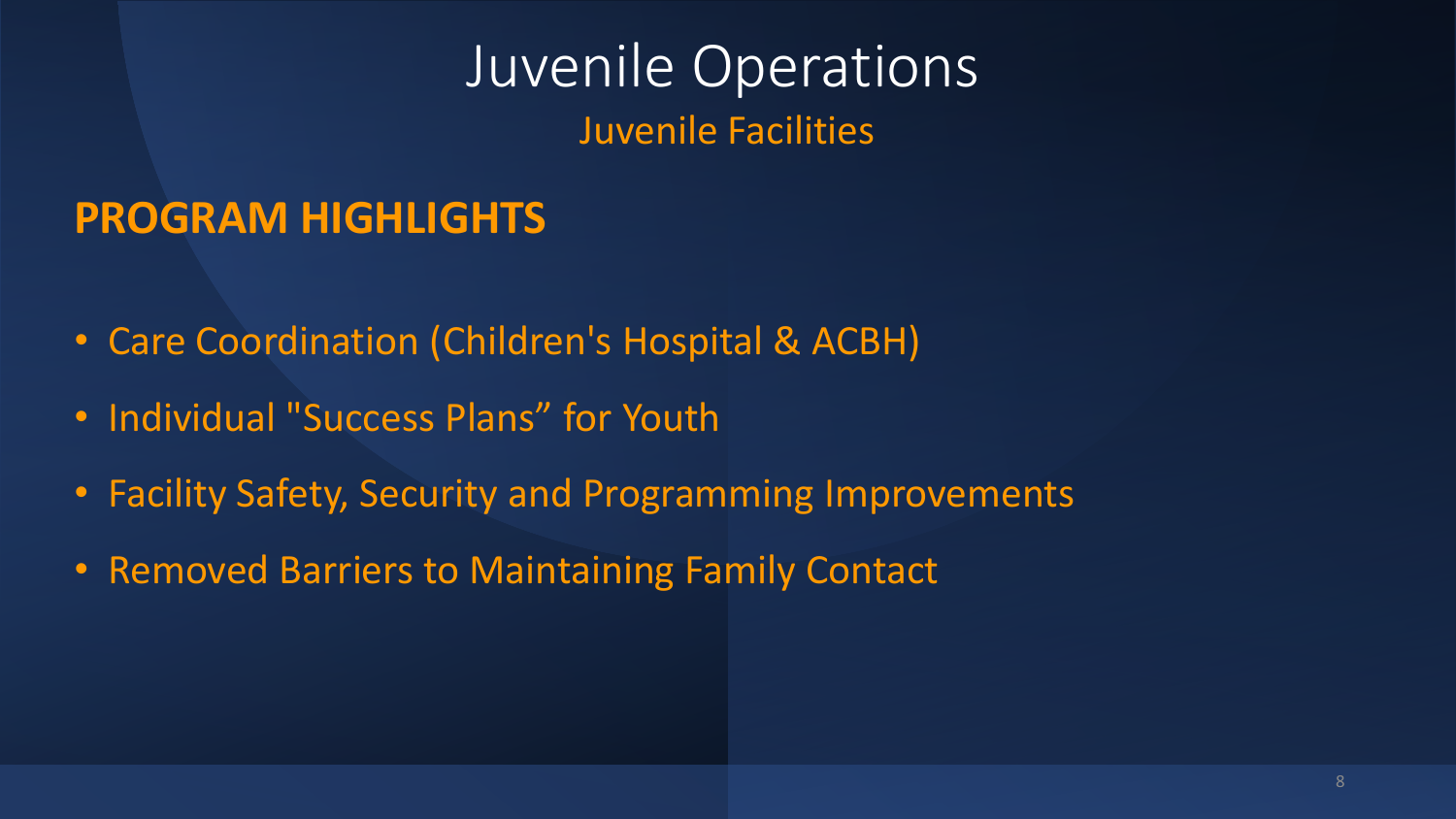# **PROGRAM HIGHLIGHTS**

- Care Coordination (Children's Hospital & ACBH)
- Individual "Success Plans" for Youth
- Facility Safety, Security and Programming Improvements
- Removed Barriers to Maintaining Family Contact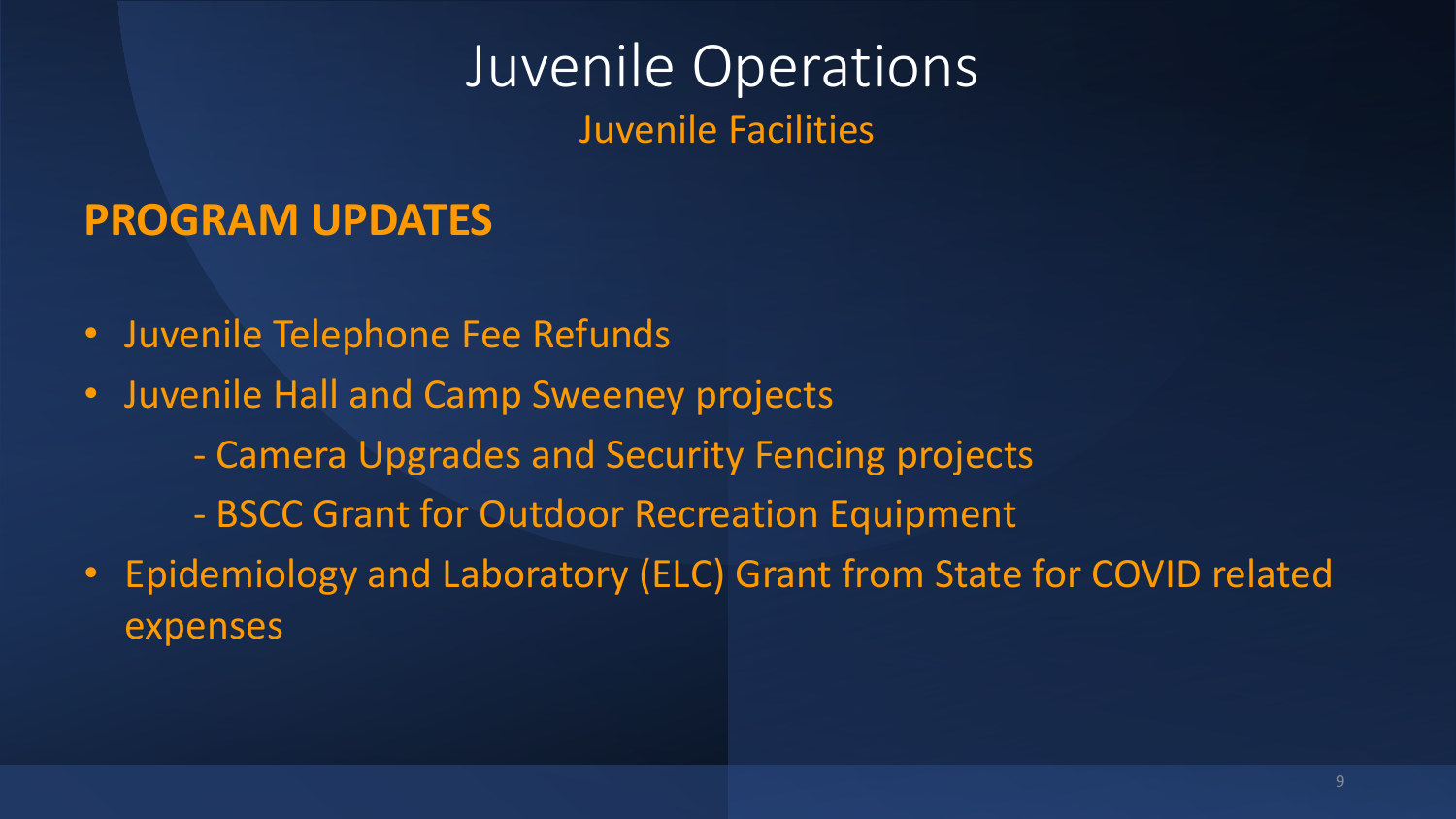### **PROGRAM UPDATES**

- Juvenile Telephone Fee Refunds
- Juvenile Hall and Camp Sweeney projects
	- Camera Upgrades and Security Fencing projects
	- BSCC Grant for Outdoor Recreation Equipment
- Epidemiology and Laboratory (ELC) Grant from State for COVID related expenses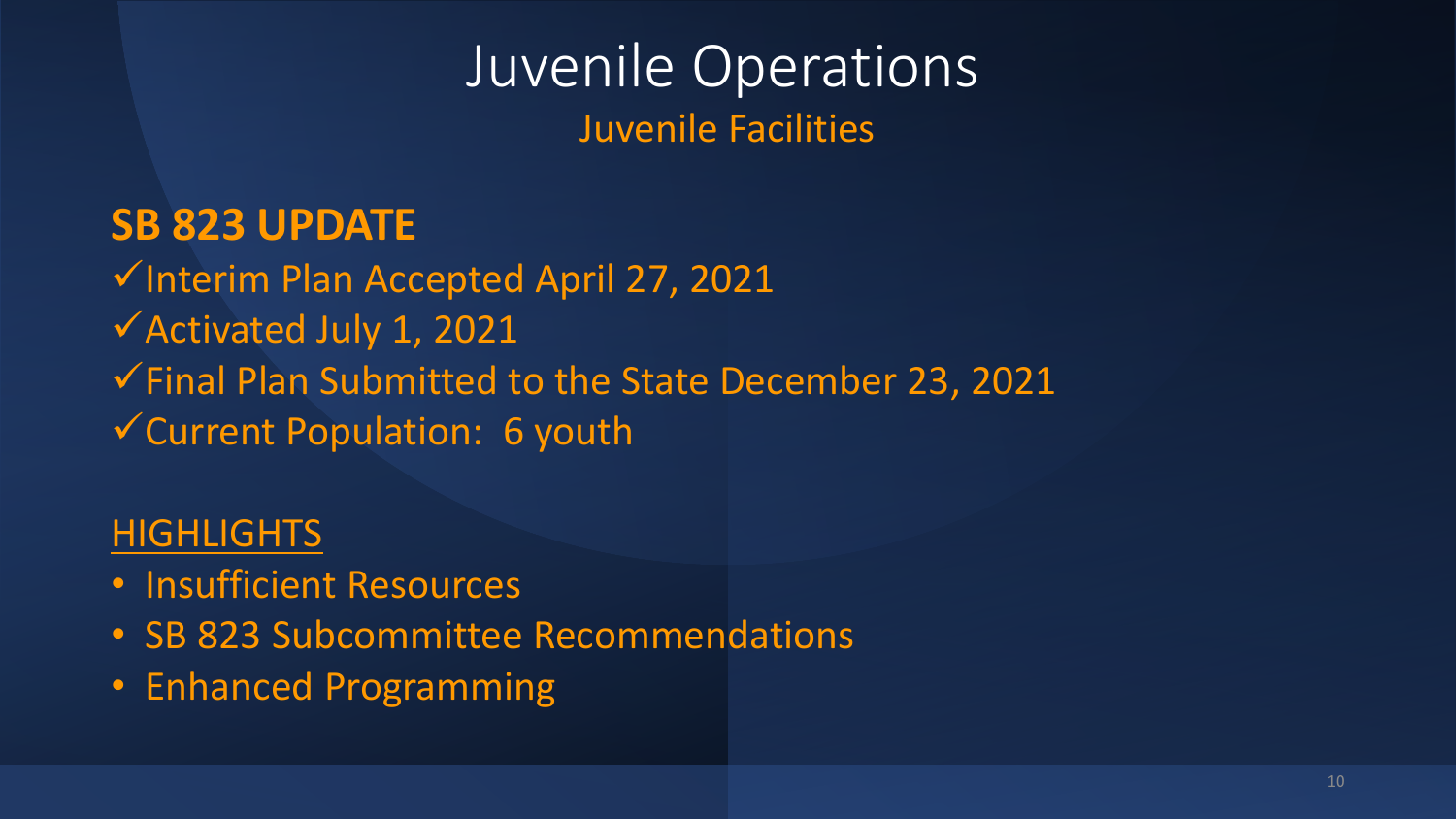### **SB 823 UPDATE**

✓Interim Plan Accepted April 27, 2021

- ✓Activated July 1, 2021
- ✓Final Plan Submitted to the State December 23, 2021

✓Current Population: 6 youth

### **HIGHLIGHTS**

- Insufficient Resources
- SB 823 Subcommittee Recommendations
- Enhanced Programming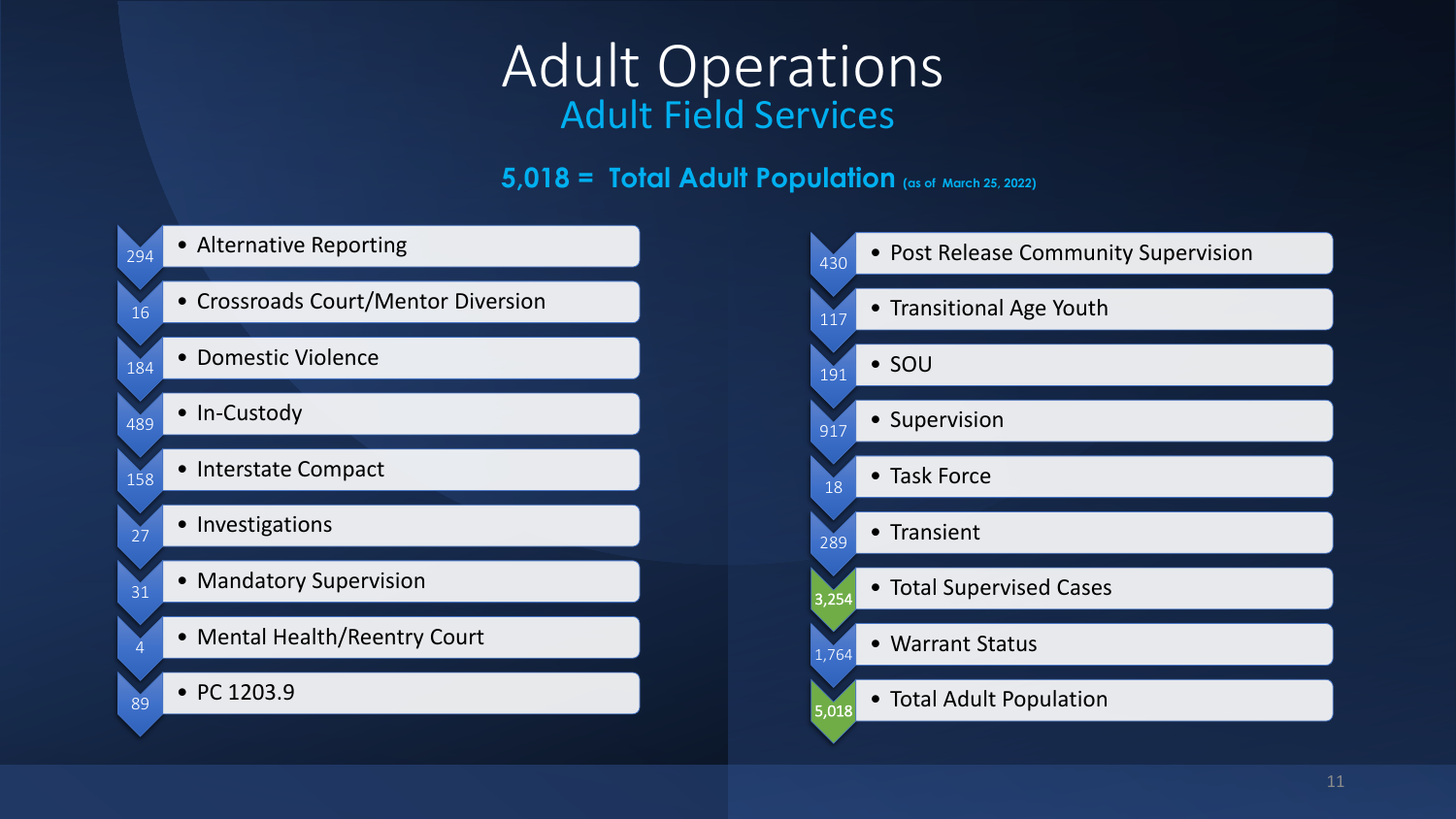# Adult Operations Adult Field Services

#### **5,018 = Total Adult Population (as of March 25, 2022)**

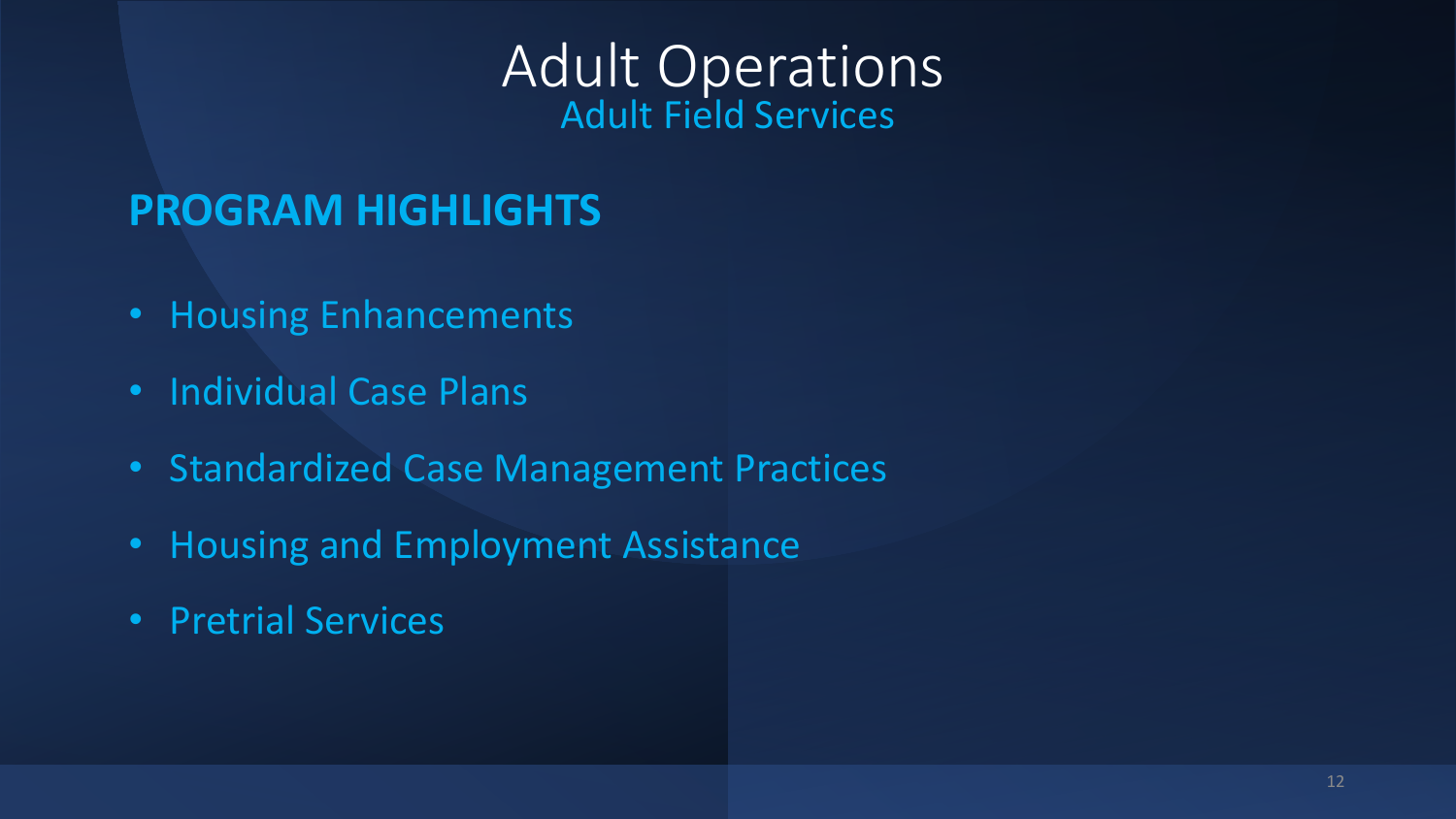# Adult Operations Adult Field Services

# **PROGRAM HIGHLIGHTS**

- Housing Enhancements
- Individual Case Plans
- Standardized Case Management Practices
- Housing and Employment Assistance
- Pretrial Services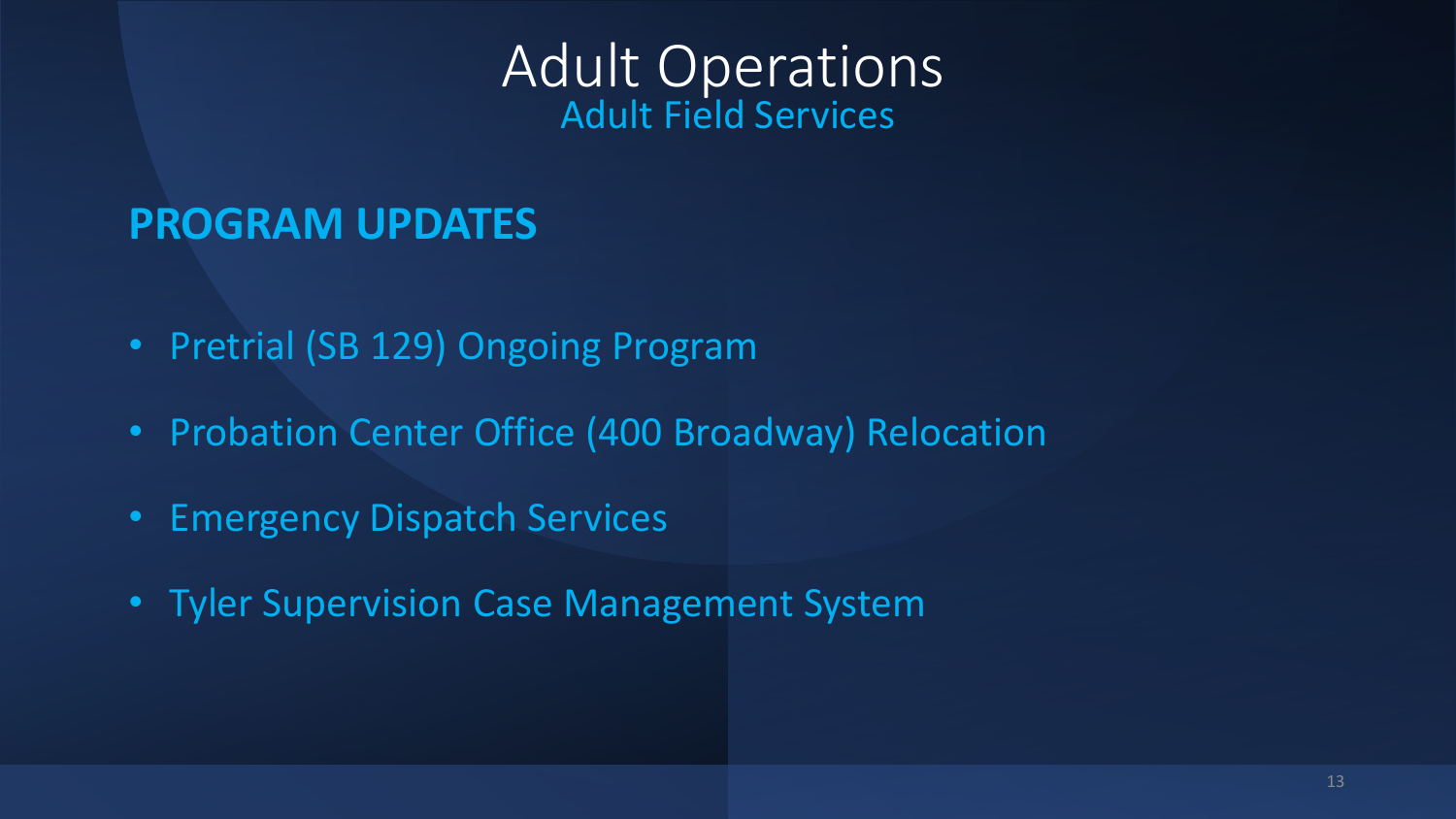# Adult Operations Adult Field Services

### **PROGRAM UPDATES**

- Pretrial (SB 129) Ongoing Program
- Probation Center Office (400 Broadway) Relocation
- Emergency Dispatch Services
- Tyler Supervision Case Management System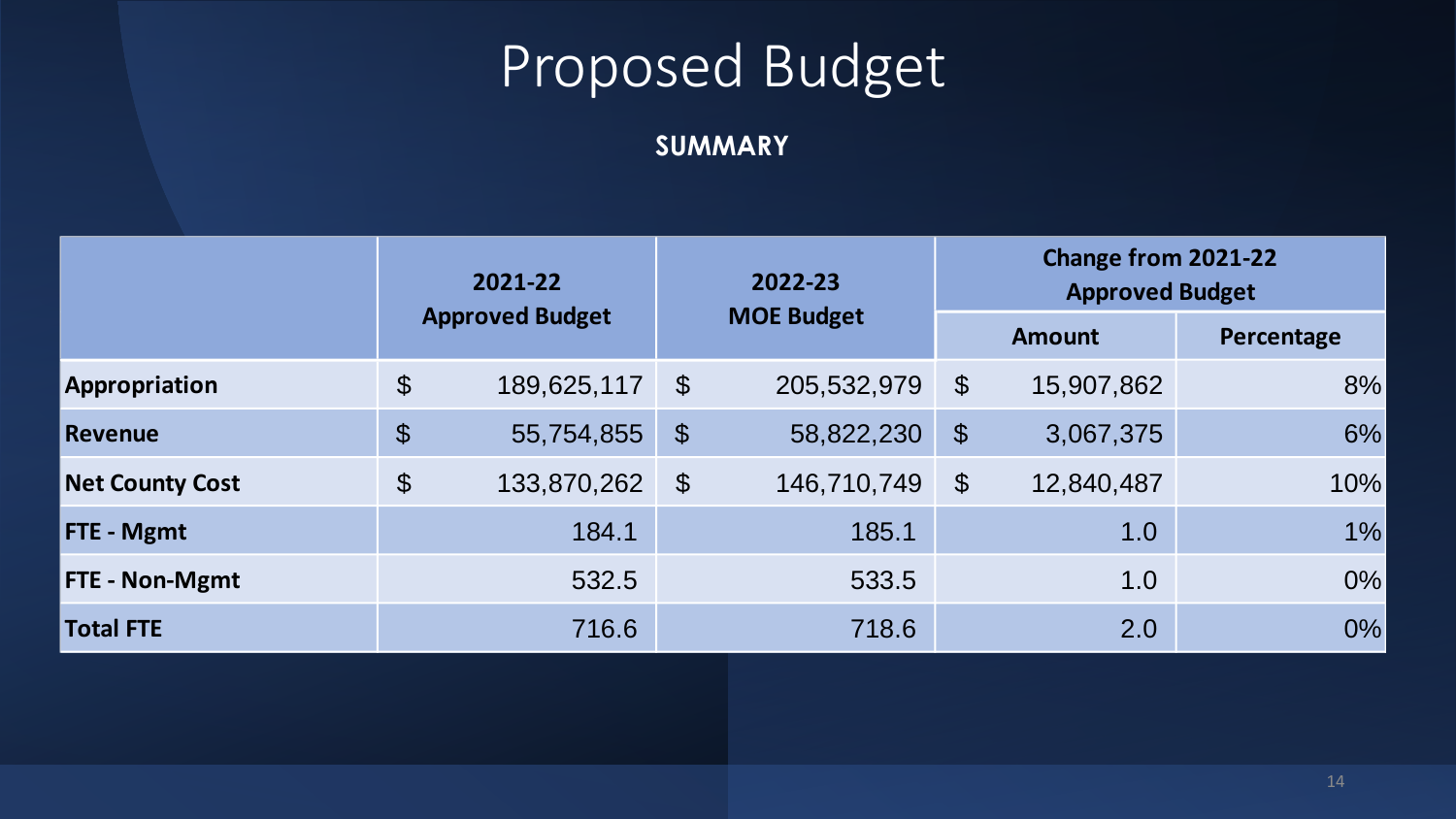#### **SUMMARY**

|                        |                       | 2021-22                | 2022-23                    |                   |                       | Change from 2021-22<br><b>Approved Budget</b> |            |  |  |
|------------------------|-----------------------|------------------------|----------------------------|-------------------|-----------------------|-----------------------------------------------|------------|--|--|
|                        |                       | <b>Approved Budget</b> |                            | <b>MOE Budget</b> |                       | <b>Amount</b>                                 | Percentage |  |  |
| Appropriation          | $\boldsymbol{\theta}$ | 189,625,117            | $\boldsymbol{\mathcal{S}}$ | 205,532,979       | $\boldsymbol{\theta}$ | 15,907,862                                    | 8%         |  |  |
| <b>Revenue</b>         | $\boldsymbol{\theta}$ | 55,754,855             | $\boldsymbol{\theta}$      | 58,822,230        | $\boldsymbol{\theta}$ | 3,067,375                                     | 6%         |  |  |
| <b>Net County Cost</b> | $\boldsymbol{\theta}$ | 133,870,262            | $\boldsymbol{\theta}$      | 146,710,749       | $\mathcal{S}$         | 12,840,487                                    | 10%        |  |  |
| FTE - Mgmt             |                       | 184.1                  |                            | 185.1             |                       | 1.0                                           | $1\%$      |  |  |
| <b>FTE - Non-Mgmt</b>  |                       | 532.5                  |                            | 533.5             |                       | 1.0                                           | $0\%$      |  |  |
| <b>Total FTE</b>       |                       | 716.6                  |                            | 718.6             |                       | 2.0                                           | 0%         |  |  |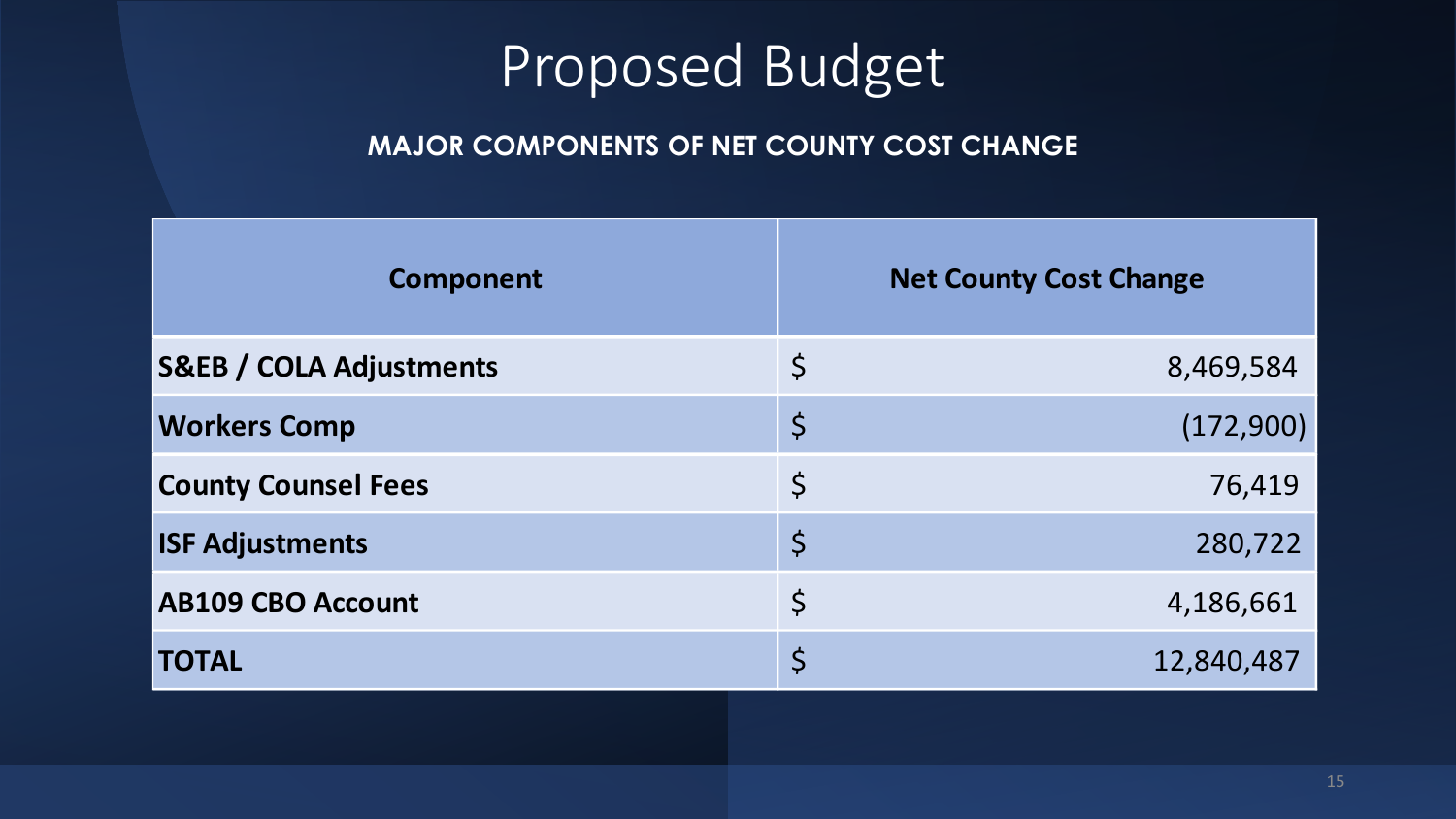#### **MAJOR COMPONENTS OF NET COUNTY COST CHANGE**

| <b>Component</b>                   |             | <b>Net County Cost Change</b> |
|------------------------------------|-------------|-------------------------------|
| <b>S&amp;EB / COLA Adjustments</b> | $\varsigma$ | 8,469,584                     |
| <b>Workers Comp</b>                | $\varsigma$ | (172,900)                     |
| <b>County Counsel Fees</b>         | $\varsigma$ | 76,419                        |
| <b>ISF Adjustments</b>             | $\varsigma$ | 280,722                       |
| <b>AB109 CBO Account</b>           | $\varsigma$ | 4,186,661                     |
| <b>TOTAL</b>                       | $\varsigma$ | 12,840,487                    |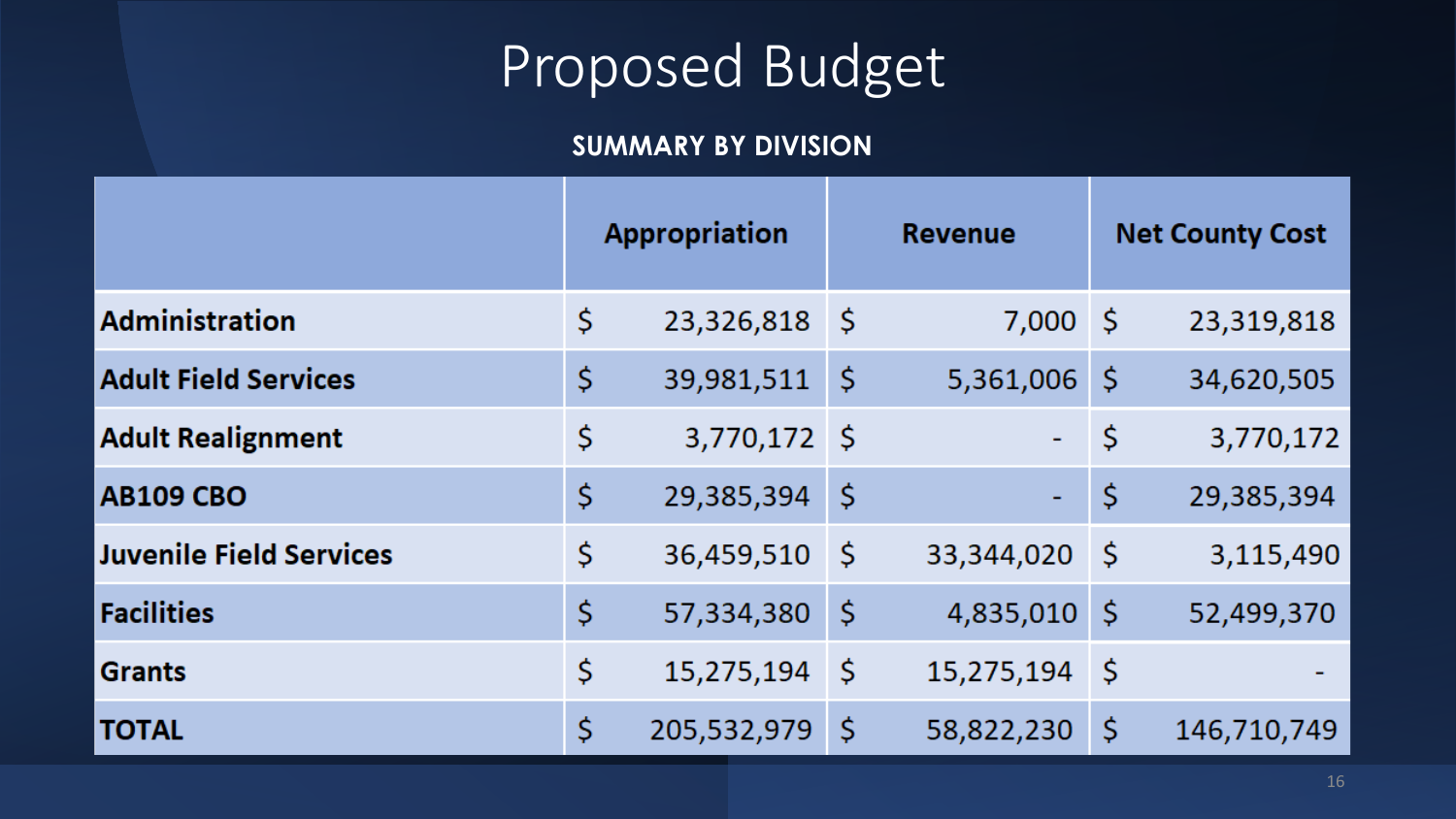#### **SUMMARY BY DIVISION**

|                                | <b>Appropriation</b> |     | <b>Revenue</b> |     | <b>Net County Cost</b> |
|--------------------------------|----------------------|-----|----------------|-----|------------------------|
| <b>Administration</b>          | \$<br>23,326,818     | -\$ | $7,000$ \$     |     | 23,319,818             |
| <b>Adult Field Services</b>    | \$<br>39,981,511     | \$  | 5,361,006      | \$. | 34,620,505             |
| <b>Adult Realignment</b>       | \$<br>3,770,172 \$   |     | ÷,             | \$  | 3,770,172              |
| <b>AB109 CBO</b>               | \$<br>29,385,394     | \$  | ۰              | \$  | 29,385,394             |
| <b>Juvenile Field Services</b> | \$<br>36,459,510     | \$  | 33,344,020     | -\$ | 3,115,490              |
| <b>Facilities</b>              | \$<br>57,334,380     | \$  | 4,835,010      | \$  | 52,499,370             |
| <b>Grants</b>                  | \$<br>15,275,194     | \$  | 15,275,194     | \$  |                        |
| <b>TOTAL</b>                   | \$<br>205,532,979    | \$  | 58,822,230     | \$  | 146,710,749            |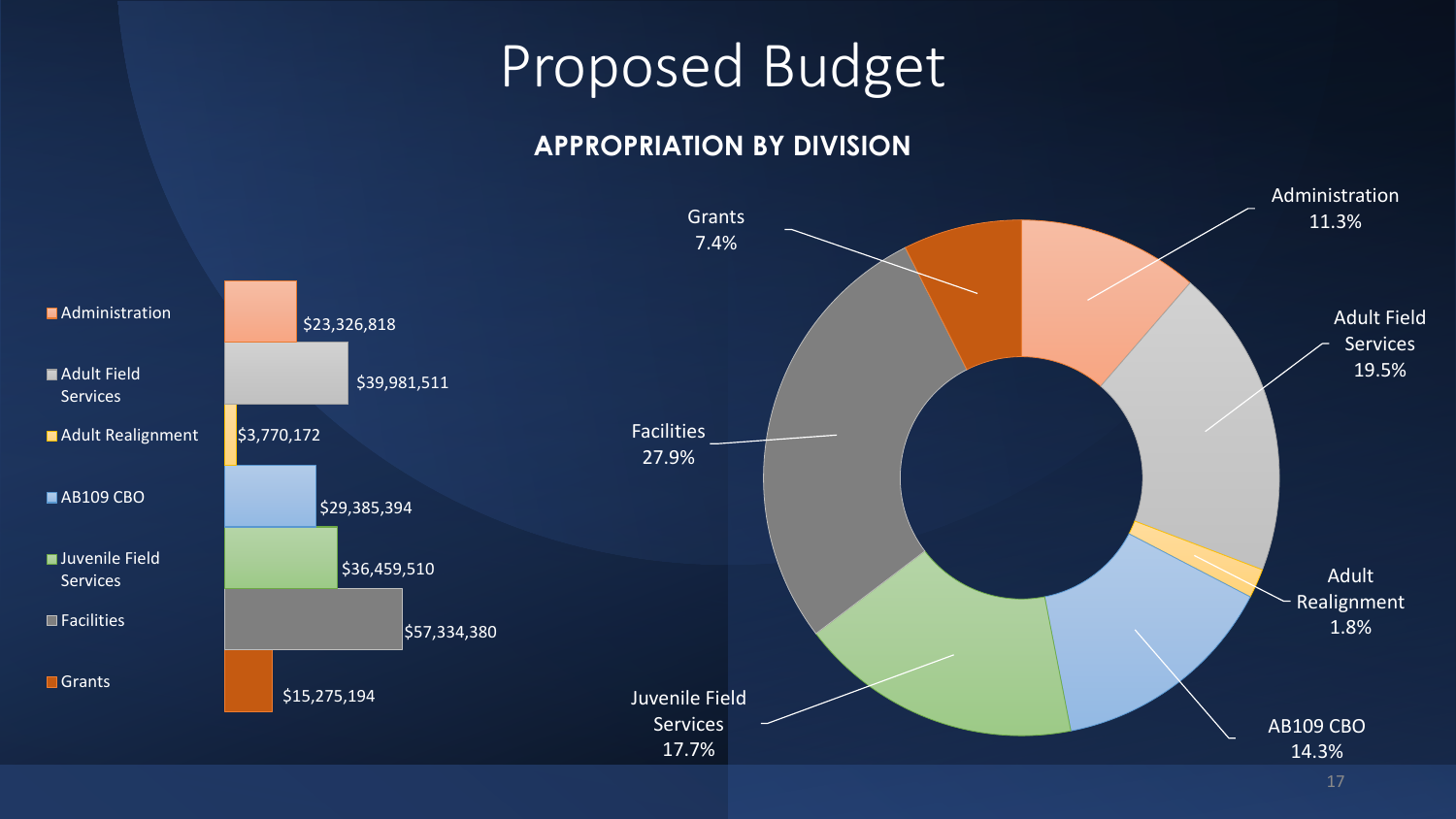#### **APPROPRIATION BY DIVISION**

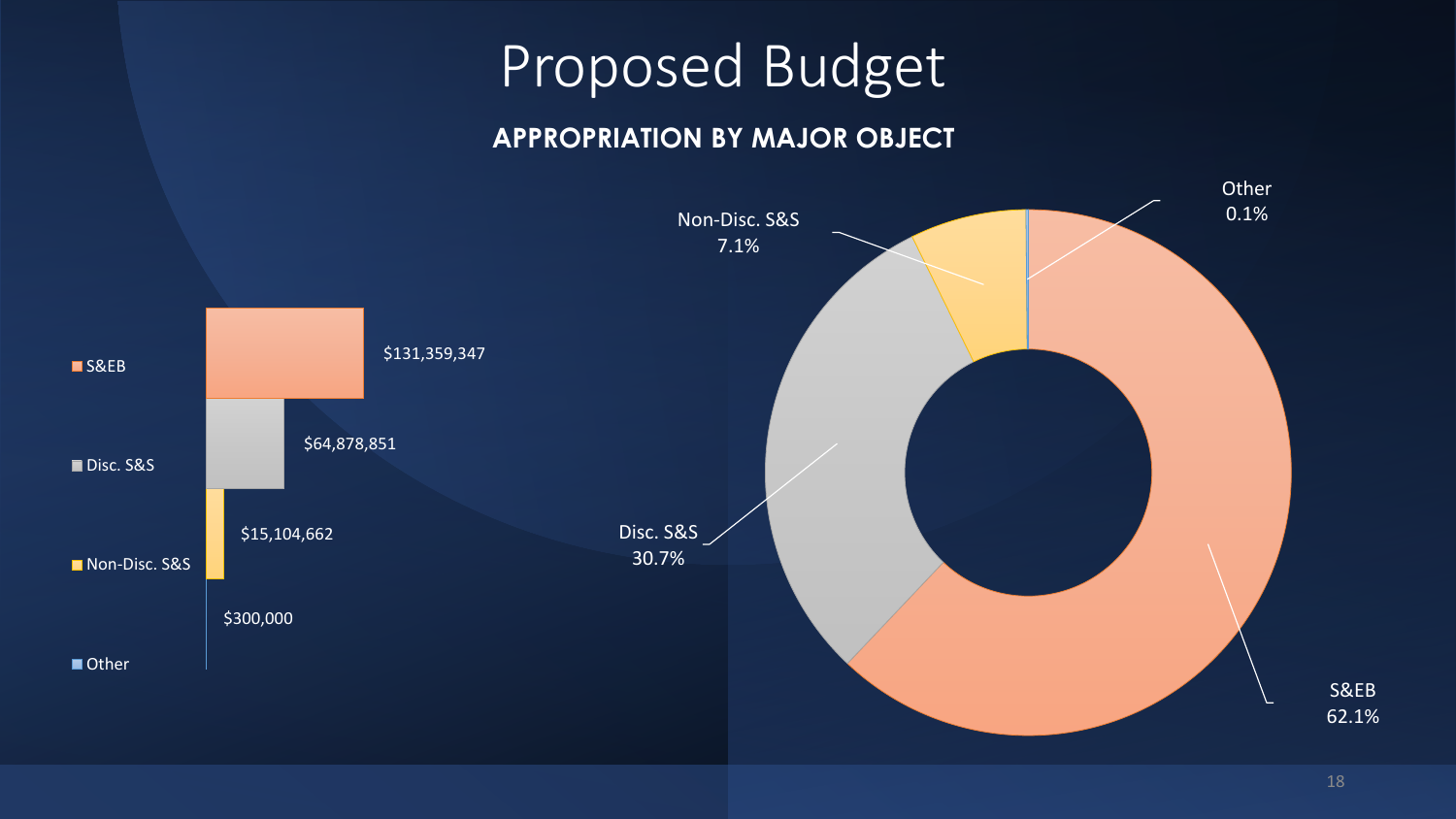#### **APPROPRIATION BY MAJOR OBJECT**



18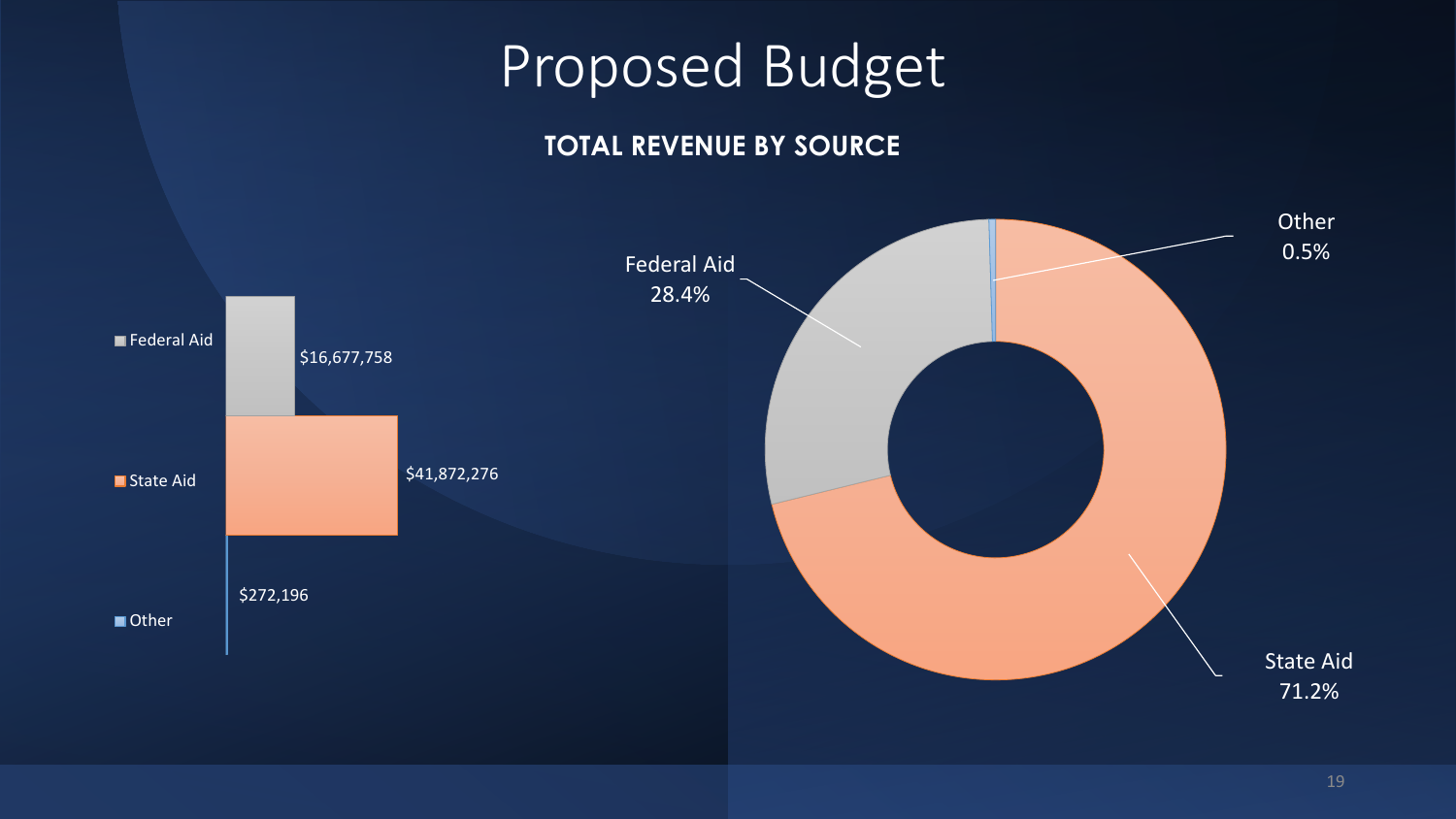#### **TOTAL REVENUE BY SOURCE**